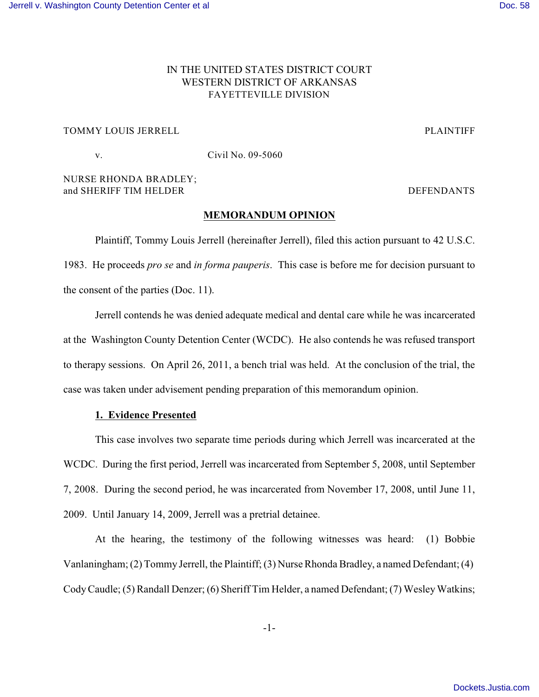# IN THE UNITED STATES DISTRICT COURT WESTERN DISTRICT OF ARKANSAS FAYETTEVILLE DIVISION

# TOMMY LOUIS JERRELL TOMMY LOUIS JERRELL

v. Civil No. 09-5060

# NURSE RHONDA BRADLEY; and SHERIFF TIM HELDER **DEFENDANTS**

## **MEMORANDUM OPINION**

Plaintiff, Tommy Louis Jerrell (hereinafter Jerrell), filed this action pursuant to 42 U.S.C. 1983. He proceeds *pro se* and *in forma pauperis*. This case is before me for decision pursuant to the consent of the parties (Doc. 11).

Jerrell contends he was denied adequate medical and dental care while he was incarcerated at the Washington County Detention Center (WCDC). He also contends he was refused transport to therapy sessions. On April 26, 2011, a bench trial was held. At the conclusion of the trial, the case was taken under advisement pending preparation of this memorandum opinion.

# **1. Evidence Presented**

This case involves two separate time periods during which Jerrell was incarcerated at the WCDC. During the first period, Jerrell was incarcerated from September 5, 2008, until September 7, 2008. During the second period, he was incarcerated from November 17, 2008, until June 11, 2009. Until January 14, 2009, Jerrell was a pretrial detainee.

At the hearing, the testimony of the following witnesses was heard: (1) Bobbie Vanlaningham; (2) Tommy Jerrell, the Plaintiff; (3) Nurse Rhonda Bradley, a named Defendant; (4) Cody Caudle; (5) Randall Denzer; (6) Sheriff Tim Helder, a named Defendant; (7) Wesley Watkins;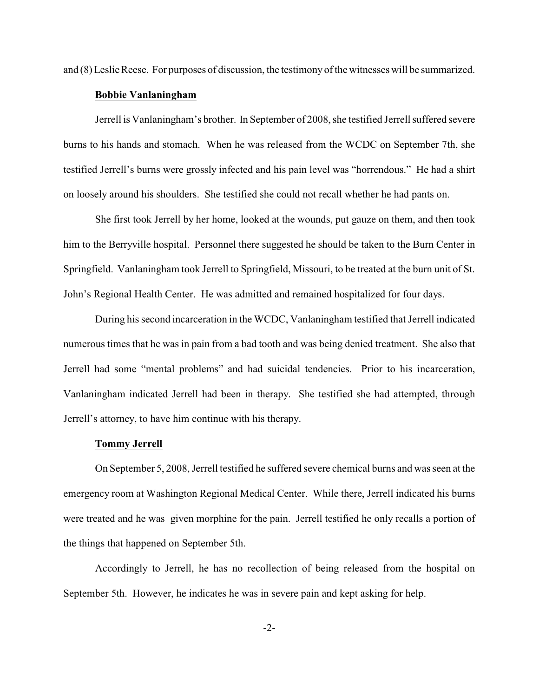and (8) Leslie Reese. For purposes of discussion, the testimony of the witnesses will be summarized.

#### **Bobbie Vanlaningham**

Jerrell is Vanlaningham's brother. In September of 2008, she testified Jerrell suffered severe burns to his hands and stomach. When he was released from the WCDC on September 7th, she testified Jerrell's burns were grossly infected and his pain level was "horrendous." He had a shirt on loosely around his shoulders. She testified she could not recall whether he had pants on.

She first took Jerrell by her home, looked at the wounds, put gauze on them, and then took him to the Berryville hospital. Personnel there suggested he should be taken to the Burn Center in Springfield. Vanlaningham took Jerrell to Springfield, Missouri, to be treated at the burn unit of St. John's Regional Health Center. He was admitted and remained hospitalized for four days.

During his second incarceration in the WCDC, Vanlaningham testified that Jerrell indicated numerous times that he was in pain from a bad tooth and was being denied treatment. She also that Jerrell had some "mental problems" and had suicidal tendencies. Prior to his incarceration, Vanlaningham indicated Jerrell had been in therapy. She testified she had attempted, through Jerrell's attorney, to have him continue with his therapy.

### **Tommy Jerrell**

On September 5, 2008, Jerrell testified he suffered severe chemical burns and was seen at the emergency room at Washington Regional Medical Center. While there, Jerrell indicated his burns were treated and he was given morphine for the pain. Jerrell testified he only recalls a portion of the things that happened on September 5th.

Accordingly to Jerrell, he has no recollection of being released from the hospital on September 5th. However, he indicates he was in severe pain and kept asking for help.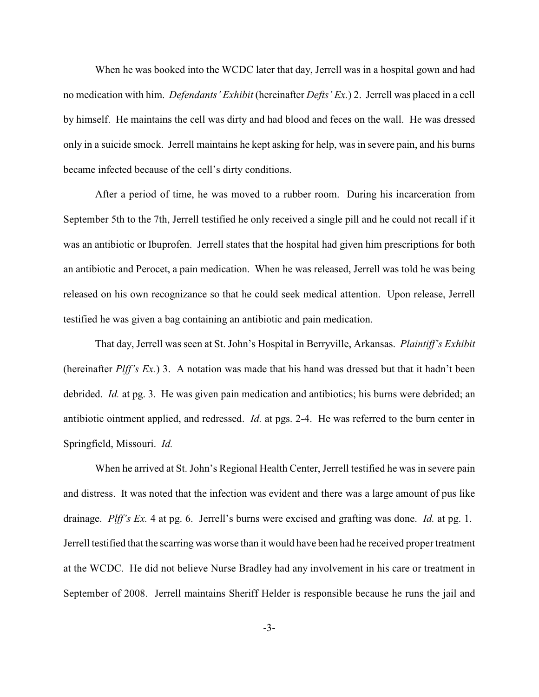When he was booked into the WCDC later that day, Jerrell was in a hospital gown and had no medication with him. *Defendants' Exhibit* (hereinafter *Defts' Ex.*) 2. Jerrell was placed in a cell by himself. He maintains the cell was dirty and had blood and feces on the wall. He was dressed only in a suicide smock. Jerrell maintains he kept asking for help, was in severe pain, and his burns became infected because of the cell's dirty conditions.

After a period of time, he was moved to a rubber room. During his incarceration from September 5th to the 7th, Jerrell testified he only received a single pill and he could not recall if it was an antibiotic or Ibuprofen. Jerrell states that the hospital had given him prescriptions for both an antibiotic and Perocet, a pain medication. When he was released, Jerrell was told he was being released on his own recognizance so that he could seek medical attention. Upon release, Jerrell testified he was given a bag containing an antibiotic and pain medication.

That day, Jerrell was seen at St. John's Hospital in Berryville, Arkansas. *Plaintiff's Exhibit* (hereinafter *Plff's Ex.*) 3. A notation was made that his hand was dressed but that it hadn't been debrided. *Id.* at pg. 3. He was given pain medication and antibiotics; his burns were debrided; an antibiotic ointment applied, and redressed. *Id.* at pgs. 2-4. He was referred to the burn center in Springfield, Missouri. *Id.*

When he arrived at St. John's Regional Health Center, Jerrell testified he was in severe pain and distress. It was noted that the infection was evident and there was a large amount of pus like drainage. *Plff's Ex.* 4 at pg. 6. Jerrell's burns were excised and grafting was done. *Id.* at pg. 1. Jerrell testified that the scarring was worse than it would have been had he received proper treatment at the WCDC. He did not believe Nurse Bradley had any involvement in his care or treatment in September of 2008. Jerrell maintains Sheriff Helder is responsible because he runs the jail and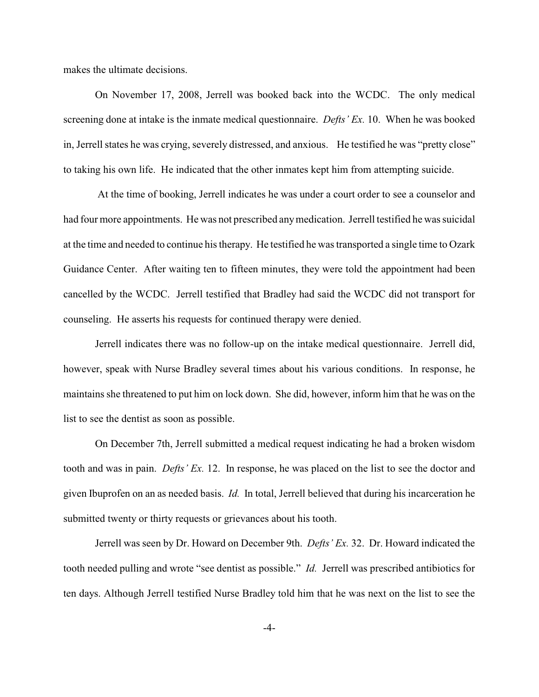makes the ultimate decisions.

On November 17, 2008, Jerrell was booked back into the WCDC. The only medical screening done at intake is the inmate medical questionnaire. *Defts' Ex.* 10. When he was booked in, Jerrell states he was crying, severely distressed, and anxious. He testified he was "pretty close" to taking his own life. He indicated that the other inmates kept him from attempting suicide.

 At the time of booking, Jerrell indicates he was under a court order to see a counselor and had four more appointments. He was not prescribed anymedication. Jerrell testified he was suicidal at the time and needed to continue his therapy. He testified he was transported a single time to Ozark Guidance Center. After waiting ten to fifteen minutes, they were told the appointment had been cancelled by the WCDC. Jerrell testified that Bradley had said the WCDC did not transport for counseling. He asserts his requests for continued therapy were denied.

Jerrell indicates there was no follow-up on the intake medical questionnaire. Jerrell did, however, speak with Nurse Bradley several times about his various conditions. In response, he maintains she threatened to put him on lock down. She did, however, inform him that he was on the list to see the dentist as soon as possible.

On December 7th, Jerrell submitted a medical request indicating he had a broken wisdom tooth and was in pain. *Defts' Ex.* 12. In response, he was placed on the list to see the doctor and given Ibuprofen on an as needed basis. *Id.* In total, Jerrell believed that during his incarceration he submitted twenty or thirty requests or grievances about his tooth.

Jerrell was seen by Dr. Howard on December 9th. *Defts' Ex.* 32. Dr. Howard indicated the tooth needed pulling and wrote "see dentist as possible." *Id.* Jerrell was prescribed antibiotics for ten days. Although Jerrell testified Nurse Bradley told him that he was next on the list to see the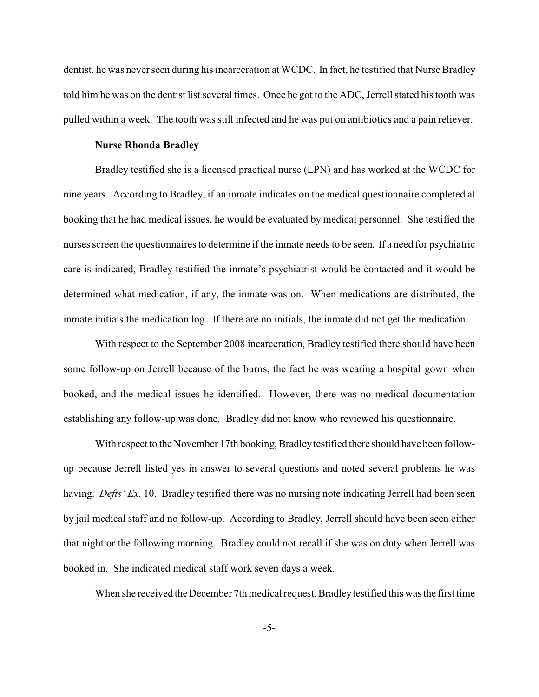dentist, he was never seen during his incarceration at WCDC. In fact, he testified that Nurse Bradley told him he was on the dentist list several times. Once he got to the ADC, Jerrell stated his tooth was pulled within a week. The tooth was still infected and he was put on antibiotics and a pain reliever.

# **Nurse Rhonda Bradley**

Bradley testified she is a licensed practical nurse (LPN) and has worked at the WCDC for nine years. According to Bradley, if an inmate indicates on the medical questionnaire completed at booking that he had medical issues, he would be evaluated by medical personnel. She testified the nurses screen the questionnaires to determine if the inmate needs to be seen. If a need for psychiatric care is indicated, Bradley testified the inmate's psychiatrist would be contacted and it would be determined what medication, if any, the inmate was on. When medications are distributed, the inmate initials the medication log. If there are no initials, the inmate did not get the medication.

With respect to the September 2008 incarceration, Bradley testified there should have been some follow-up on Jerrell because of the burns, the fact he was wearing a hospital gown when booked, and the medical issues he identified. However, there was no medical documentation establishing any follow-up was done. Bradley did not know who reviewed his questionnaire.

With respect to the November 17th booking, Bradley testified there should have been followup because Jerrell listed yes in answer to several questions and noted several problems he was having. *Defts' Ex.* 10. Bradley testified there was no nursing note indicating Jerrell had been seen by jail medical staff and no follow-up. According to Bradley, Jerrell should have been seen either that night or the following morning. Bradley could not recall if she was on duty when Jerrell was booked in. She indicated medical staff work seven days a week.

When she received the December 7th medical request, Bradley testified this was the first time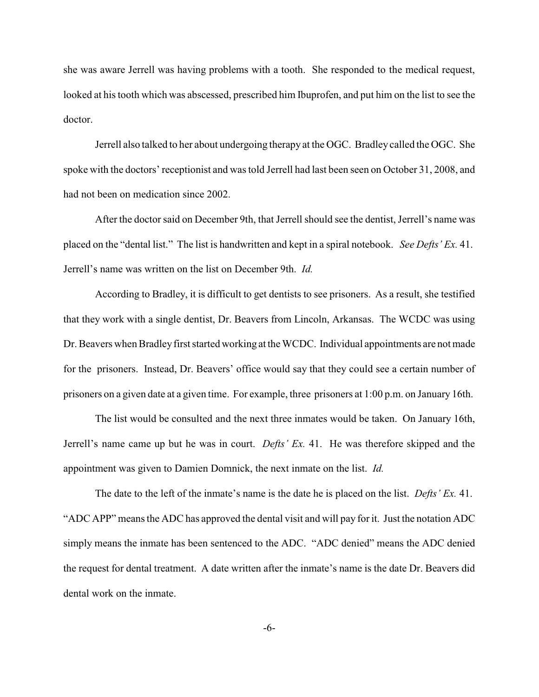she was aware Jerrell was having problems with a tooth. She responded to the medical request, looked at his tooth which was abscessed, prescribed him Ibuprofen, and put him on the list to see the doctor.

Jerrell also talked to her about undergoing therapy at the OGC. Bradley called the OGC. She spoke with the doctors' receptionist and was told Jerrell had last been seen on October 31, 2008, and had not been on medication since 2002.

After the doctor said on December 9th, that Jerrell should see the dentist, Jerrell's name was placed on the "dental list." The list is handwritten and kept in a spiral notebook. *See Defts' Ex.* 41. Jerrell's name was written on the list on December 9th. *Id.*

According to Bradley, it is difficult to get dentists to see prisoners. As a result, she testified that they work with a single dentist, Dr. Beavers from Lincoln, Arkansas. The WCDC was using Dr. Beavers when Bradley first started working at the WCDC. Individual appointments are not made for the prisoners. Instead, Dr. Beavers' office would say that they could see a certain number of prisoners on a given date at a given time. For example, three prisoners at 1:00 p.m. on January 16th.

The list would be consulted and the next three inmates would be taken. On January 16th, Jerrell's name came up but he was in court. *Defts' Ex.* 41. He was therefore skipped and the appointment was given to Damien Domnick, the next inmate on the list. *Id.*

The date to the left of the inmate's name is the date he is placed on the list. *Defts' Ex.* 41. "ADC APP" means the ADC has approved the dental visit and will pay for it. Just the notation ADC simply means the inmate has been sentenced to the ADC. "ADC denied" means the ADC denied the request for dental treatment. A date written after the inmate's name is the date Dr. Beavers did dental work on the inmate.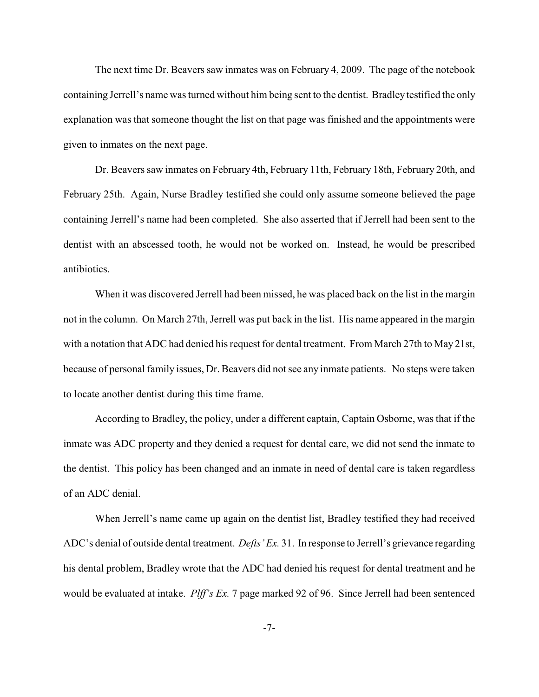The next time Dr. Beavers saw inmates was on February 4, 2009. The page of the notebook containing Jerrell's name was turned without him being sent to the dentist. Bradleytestified the only explanation was that someone thought the list on that page was finished and the appointments were given to inmates on the next page.

Dr. Beavers saw inmates on February 4th, February 11th, February 18th, February 20th, and February 25th. Again, Nurse Bradley testified she could only assume someone believed the page containing Jerrell's name had been completed. She also asserted that if Jerrell had been sent to the dentist with an abscessed tooth, he would not be worked on. Instead, he would be prescribed antibiotics.

When it was discovered Jerrell had been missed, he was placed back on the list in the margin not in the column. On March 27th, Jerrell was put back in the list. His name appeared in the margin with a notation that ADC had denied his request for dental treatment. From March 27th to May 21st, because of personal family issues, Dr. Beavers did not see any inmate patients. No steps were taken to locate another dentist during this time frame.

According to Bradley, the policy, under a different captain, Captain Osborne, was that if the inmate was ADC property and they denied a request for dental care, we did not send the inmate to the dentist. This policy has been changed and an inmate in need of dental care is taken regardless of an ADC denial.

When Jerrell's name came up again on the dentist list, Bradley testified they had received ADC's denial of outside dental treatment. *Defts' Ex.* 31. In response to Jerrell's grievance regarding his dental problem, Bradley wrote that the ADC had denied his request for dental treatment and he would be evaluated at intake. *Plff's Ex.* 7 page marked 92 of 96. Since Jerrell had been sentenced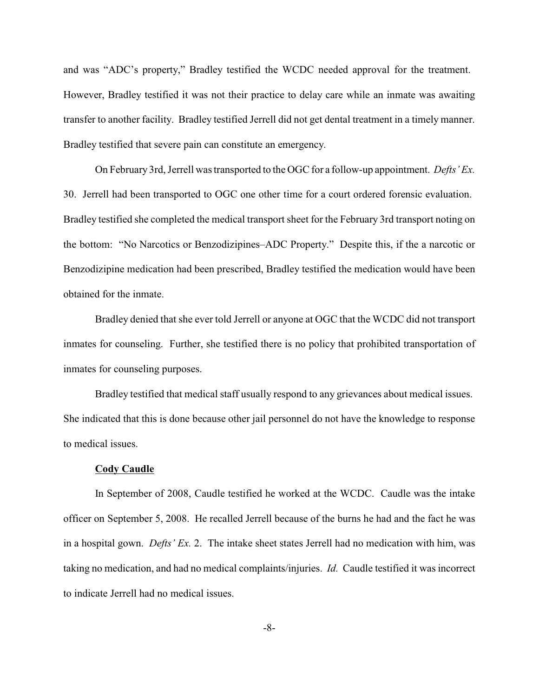and was "ADC's property," Bradley testified the WCDC needed approval for the treatment. However, Bradley testified it was not their practice to delay care while an inmate was awaiting transfer to another facility. Bradley testified Jerrell did not get dental treatment in a timely manner. Bradley testified that severe pain can constitute an emergency.

On February 3rd, Jerrell was transported to the OGC for a follow-up appointment. *Defts' Ex.* 30. Jerrell had been transported to OGC one other time for a court ordered forensic evaluation. Bradley testified she completed the medical transport sheet for the February 3rd transport noting on the bottom: "No Narcotics or Benzodizipines–ADC Property." Despite this, if the a narcotic or Benzodizipine medication had been prescribed, Bradley testified the medication would have been obtained for the inmate.

Bradley denied that she ever told Jerrell or anyone at OGC that the WCDC did not transport inmates for counseling. Further, she testified there is no policy that prohibited transportation of inmates for counseling purposes.

Bradley testified that medical staff usually respond to any grievances about medical issues. She indicated that this is done because other jail personnel do not have the knowledge to response to medical issues.

#### **Cody Caudle**

In September of 2008, Caudle testified he worked at the WCDC. Caudle was the intake officer on September 5, 2008. He recalled Jerrell because of the burns he had and the fact he was in a hospital gown. *Defts' Ex.* 2. The intake sheet states Jerrell had no medication with him, was taking no medication, and had no medical complaints/injuries. *Id.* Caudle testified it was incorrect to indicate Jerrell had no medical issues.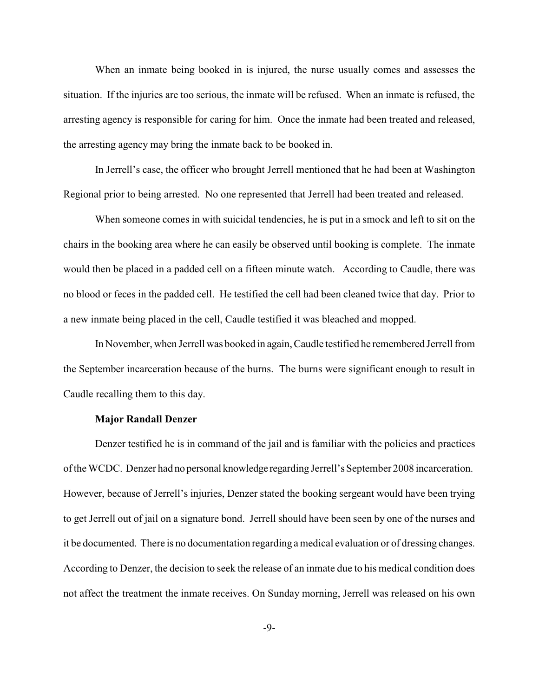When an inmate being booked in is injured, the nurse usually comes and assesses the situation. If the injuries are too serious, the inmate will be refused. When an inmate is refused, the arresting agency is responsible for caring for him. Once the inmate had been treated and released, the arresting agency may bring the inmate back to be booked in.

In Jerrell's case, the officer who brought Jerrell mentioned that he had been at Washington Regional prior to being arrested. No one represented that Jerrell had been treated and released.

When someone comes in with suicidal tendencies, he is put in a smock and left to sit on the chairs in the booking area where he can easily be observed until booking is complete. The inmate would then be placed in a padded cell on a fifteen minute watch. According to Caudle, there was no blood or feces in the padded cell. He testified the cell had been cleaned twice that day. Prior to a new inmate being placed in the cell, Caudle testified it was bleached and mopped.

In November, when Jerrell was booked in again, Caudle testified he remembered Jerrell from the September incarceration because of the burns. The burns were significant enough to result in Caudle recalling them to this day.

### **Major Randall Denzer**

Denzer testified he is in command of the jail and is familiar with the policies and practices of the WCDC. Denzer had no personal knowledge regarding Jerrell's September 2008 incarceration. However, because of Jerrell's injuries, Denzer stated the booking sergeant would have been trying to get Jerrell out of jail on a signature bond. Jerrell should have been seen by one of the nurses and it be documented. There is no documentation regarding a medical evaluation or of dressing changes. According to Denzer, the decision to seek the release of an inmate due to his medical condition does not affect the treatment the inmate receives. On Sunday morning, Jerrell was released on his own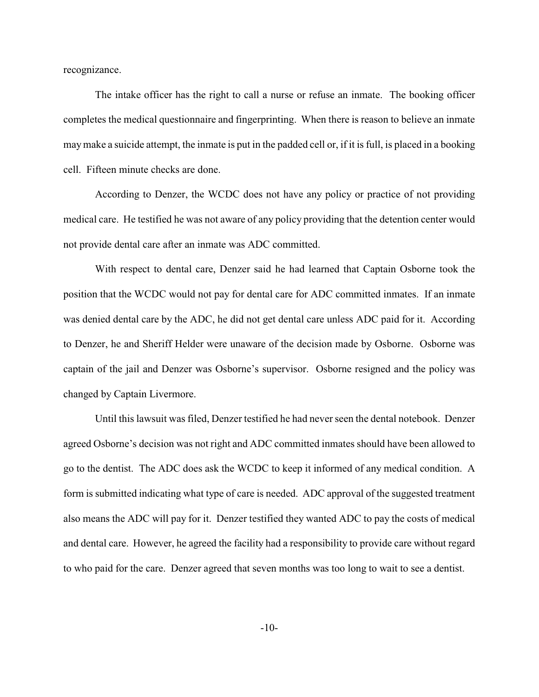recognizance.

The intake officer has the right to call a nurse or refuse an inmate. The booking officer completes the medical questionnaire and fingerprinting. When there is reason to believe an inmate maymake a suicide attempt, the inmate is put in the padded cell or, if it is full, is placed in a booking cell. Fifteen minute checks are done.

According to Denzer, the WCDC does not have any policy or practice of not providing medical care. He testified he was not aware of any policy providing that the detention center would not provide dental care after an inmate was ADC committed.

With respect to dental care, Denzer said he had learned that Captain Osborne took the position that the WCDC would not pay for dental care for ADC committed inmates. If an inmate was denied dental care by the ADC, he did not get dental care unless ADC paid for it. According to Denzer, he and Sheriff Helder were unaware of the decision made by Osborne. Osborne was captain of the jail and Denzer was Osborne's supervisor. Osborne resigned and the policy was changed by Captain Livermore.

Until this lawsuit was filed, Denzer testified he had neverseen the dental notebook. Denzer agreed Osborne's decision was not right and ADC committed inmates should have been allowed to go to the dentist. The ADC does ask the WCDC to keep it informed of any medical condition. A form is submitted indicating what type of care is needed. ADC approval of the suggested treatment also means the ADC will pay for it. Denzer testified they wanted ADC to pay the costs of medical and dental care. However, he agreed the facility had a responsibility to provide care without regard to who paid for the care. Denzer agreed that seven months was too long to wait to see a dentist.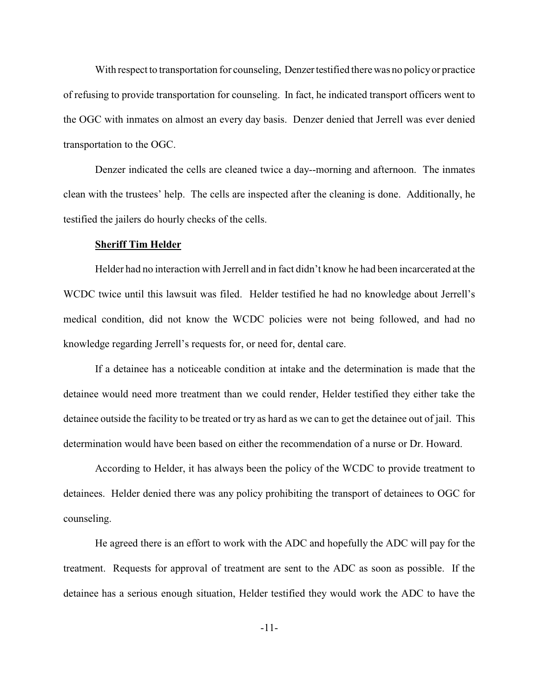With respect to transportation for counseling, Denzer testified there was no policy or practice of refusing to provide transportation for counseling. In fact, he indicated transport officers went to the OGC with inmates on almost an every day basis. Denzer denied that Jerrell was ever denied transportation to the OGC.

Denzer indicated the cells are cleaned twice a day--morning and afternoon. The inmates clean with the trustees' help. The cells are inspected after the cleaning is done. Additionally, he testified the jailers do hourly checks of the cells.

### **Sheriff Tim Helder**

Helder had no interaction with Jerrell and in fact didn't know he had been incarcerated at the WCDC twice until this lawsuit was filed. Helder testified he had no knowledge about Jerrell's medical condition, did not know the WCDC policies were not being followed, and had no knowledge regarding Jerrell's requests for, or need for, dental care.

If a detainee has a noticeable condition at intake and the determination is made that the detainee would need more treatment than we could render, Helder testified they either take the detainee outside the facility to be treated or try as hard as we can to get the detainee out of jail. This determination would have been based on either the recommendation of a nurse or Dr. Howard.

According to Helder, it has always been the policy of the WCDC to provide treatment to detainees. Helder denied there was any policy prohibiting the transport of detainees to OGC for counseling.

He agreed there is an effort to work with the ADC and hopefully the ADC will pay for the treatment. Requests for approval of treatment are sent to the ADC as soon as possible. If the detainee has a serious enough situation, Helder testified they would work the ADC to have the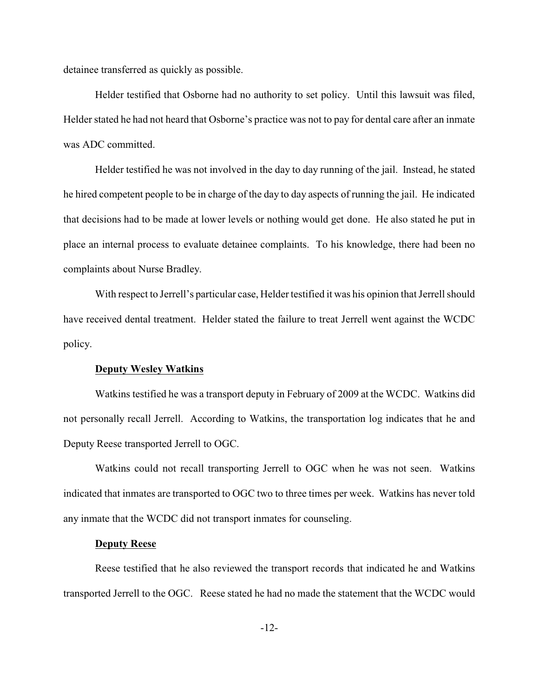detainee transferred as quickly as possible.

Helder testified that Osborne had no authority to set policy. Until this lawsuit was filed, Helder stated he had not heard that Osborne's practice was not to pay for dental care after an inmate was ADC committed.

Helder testified he was not involved in the day to day running of the jail. Instead, he stated he hired competent people to be in charge of the day to day aspects of running the jail. He indicated that decisions had to be made at lower levels or nothing would get done. He also stated he put in place an internal process to evaluate detainee complaints. To his knowledge, there had been no complaints about Nurse Bradley.

With respect to Jerrell's particular case, Helder testified it was his opinion that Jerrell should have received dental treatment. Helder stated the failure to treat Jerrell went against the WCDC policy.

### **Deputy Wesley Watkins**

Watkins testified he was a transport deputy in February of 2009 at the WCDC. Watkins did not personally recall Jerrell. According to Watkins, the transportation log indicates that he and Deputy Reese transported Jerrell to OGC.

Watkins could not recall transporting Jerrell to OGC when he was not seen. Watkins indicated that inmates are transported to OGC two to three times per week. Watkins has never told any inmate that the WCDC did not transport inmates for counseling.

# **Deputy Reese**

Reese testified that he also reviewed the transport records that indicated he and Watkins transported Jerrell to the OGC. Reese stated he had no made the statement that the WCDC would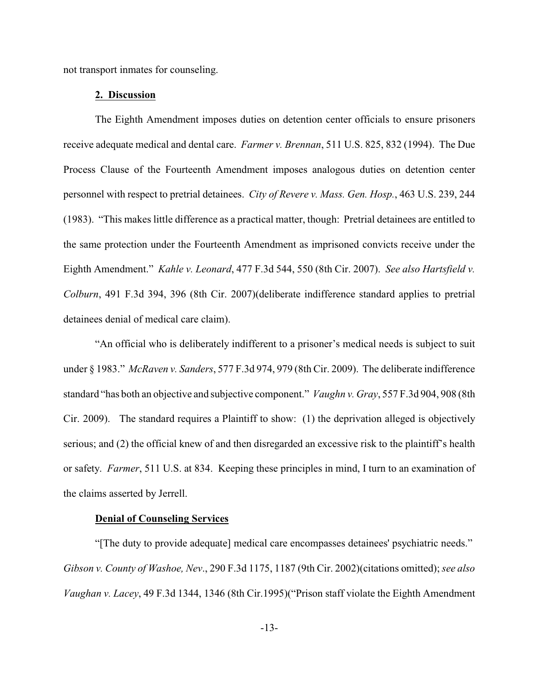not transport inmates for counseling.

### **2. Discussion**

The Eighth Amendment imposes duties on detention center officials to ensure prisoners receive adequate medical and dental care. *Farmer v. Brennan*, 511 U.S. 825, 832 (1994). The Due Process Clause of the Fourteenth Amendment imposes analogous duties on detention center personnel with respect to pretrial detainees. *City of Revere v. Mass. Gen. Hosp.*, 463 U.S. 239, 244 (1983). "This makes little difference as a practical matter, though: Pretrial detainees are entitled to the same protection under the Fourteenth Amendment as imprisoned convicts receive under the Eighth Amendment." *Kahle v. Leonard*, 477 F.3d 544, 550 (8th Cir. 2007). *See also Hartsfield v. Colburn*, 491 F.3d 394, 396 (8th Cir. 2007)(deliberate indifference standard applies to pretrial detainees denial of medical care claim).

"An official who is deliberately indifferent to a prisoner's medical needs is subject to suit under § 1983." *McRaven v. Sanders*, 577 F.3d 974, 979 (8th Cir. 2009). The deliberate indifference standard "has both an objective and subjective component." *Vaughn v. Gray*, 557 F.3d 904, 908 (8th Cir. 2009). The standard requires a Plaintiff to show: (1) the deprivation alleged is objectively serious; and (2) the official knew of and then disregarded an excessive risk to the plaintiff's health or safety. *Farmer*, 511 U.S. at 834. Keeping these principles in mind, I turn to an examination of the claims asserted by Jerrell.

### **Denial of Counseling Services**

"[The duty to provide adequate] medical care encompasses detainees' psychiatric needs." *Gibson v. County of Washoe, Nev*., 290 F.3d 1175, 1187 (9th Cir. 2002)(citations omitted); *see also Vaughan v. Lacey*, 49 F.3d 1344, 1346 (8th Cir.1995)("Prison staff violate the Eighth Amendment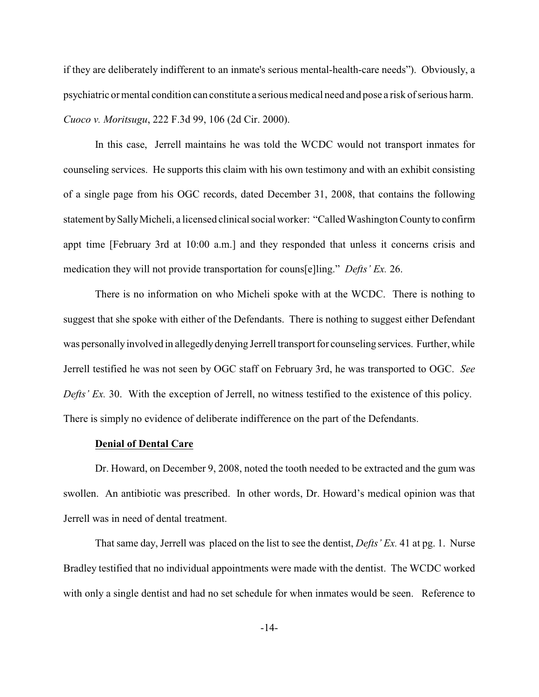if they are deliberately indifferent to an inmate's serious mental-health-care needs"). Obviously, a psychiatric or mental condition can constitute a serious medical need and pose a risk of serious harm. *Cuoco v. Moritsugu*, 222 F.3d 99, 106 (2d Cir. 2000).

In this case, Jerrell maintains he was told the WCDC would not transport inmates for counseling services. He supports this claim with his own testimony and with an exhibit consisting of a single page from his OGC records, dated December 31, 2008, that contains the following statement bySallyMicheli, a licensed clinical social worker: "Called Washington Countyto confirm appt time [February 3rd at 10:00 a.m.] and they responded that unless it concerns crisis and medication they will not provide transportation for couns[e]ling." *Defts' Ex.* 26.

There is no information on who Micheli spoke with at the WCDC. There is nothing to suggest that she spoke with either of the Defendants. There is nothing to suggest either Defendant was personallyinvolved in allegedlydenying Jerrell transport for counseling services. Further, while Jerrell testified he was not seen by OGC staff on February 3rd, he was transported to OGC. *See Defts' Ex.* 30. With the exception of Jerrell, no witness testified to the existence of this policy. There is simply no evidence of deliberate indifference on the part of the Defendants.

#### **Denial of Dental Care**

Dr. Howard, on December 9, 2008, noted the tooth needed to be extracted and the gum was swollen. An antibiotic was prescribed. In other words, Dr. Howard's medical opinion was that Jerrell was in need of dental treatment.

That same day, Jerrell was placed on the list to see the dentist, *Defts' Ex.* 41 at pg. 1. Nurse Bradley testified that no individual appointments were made with the dentist. The WCDC worked with only a single dentist and had no set schedule for when inmates would be seen. Reference to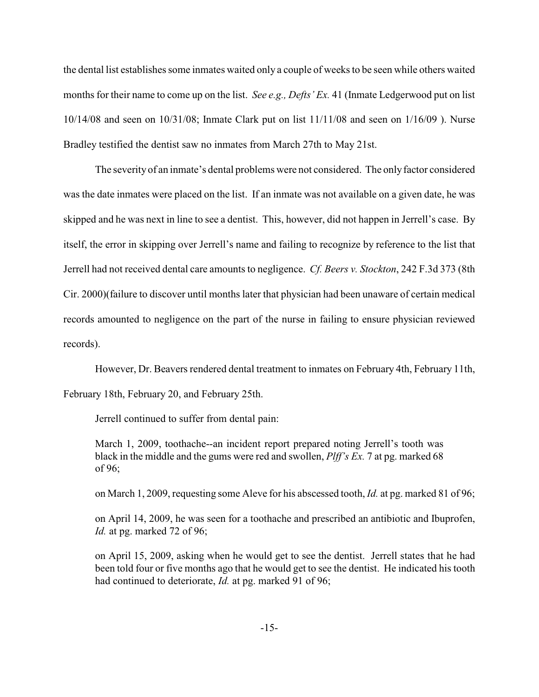the dental list establishes some inmates waited only a couple of weeks to be seen while others waited months for their name to come up on the list. *See e.g., Defts' Ex.* 41 (Inmate Ledgerwood put on list 10/14/08 and seen on 10/31/08; Inmate Clark put on list 11/11/08 and seen on 1/16/09 ). Nurse Bradley testified the dentist saw no inmates from March 27th to May 21st.

The severity of an inmate's dental problems were not considered. The onlyfactor considered was the date inmates were placed on the list. If an inmate was not available on a given date, he was skipped and he was next in line to see a dentist. This, however, did not happen in Jerrell's case. By itself, the error in skipping over Jerrell's name and failing to recognize by reference to the list that Jerrell had not received dental care amounts to negligence. *Cf. Beers v. Stockton*, 242 F.3d 373 (8th Cir. 2000)(failure to discover until months later that physician had been unaware of certain medical records amounted to negligence on the part of the nurse in failing to ensure physician reviewed records).

However, Dr. Beavers rendered dental treatment to inmates on February 4th, February 11th,

February 18th, February 20, and February 25th.

Jerrell continued to suffer from dental pain:

March 1, 2009, toothache--an incident report prepared noting Jerrell's tooth was black in the middle and the gums were red and swollen, *Plff's Ex.* 7 at pg. marked 68 of 96;

on March 1, 2009, requesting some Aleve for his abscessed tooth, *Id.* at pg. marked 81 of 96;

on April 14, 2009, he was seen for a toothache and prescribed an antibiotic and Ibuprofen, *Id.* at pg. marked 72 of 96;

on April 15, 2009, asking when he would get to see the dentist. Jerrell states that he had been told four or five months ago that he would get to see the dentist. He indicated his tooth had continued to deteriorate, *Id.* at pg. marked 91 of 96;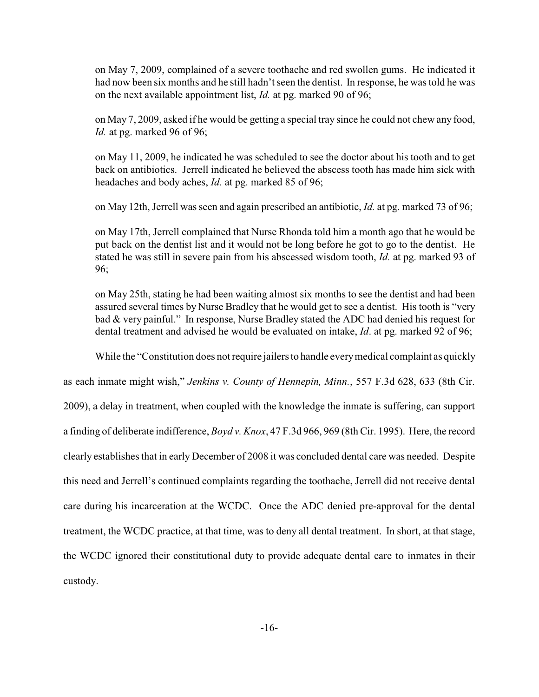on May 7, 2009, complained of a severe toothache and red swollen gums. He indicated it had now been six months and he still hadn't seen the dentist. In response, he was told he was on the next available appointment list, *Id.* at pg. marked 90 of 96;

on May 7, 2009, asked if he would be getting a special tray since he could not chew any food, *Id.* at pg. marked 96 of 96;

on May 11, 2009, he indicated he was scheduled to see the doctor about his tooth and to get back on antibiotics. Jerrell indicated he believed the abscess tooth has made him sick with headaches and body aches, *Id.* at pg. marked 85 of 96;

on May 12th, Jerrell was seen and again prescribed an antibiotic, *Id.* at pg. marked 73 of 96;

on May 17th, Jerrell complained that Nurse Rhonda told him a month ago that he would be put back on the dentist list and it would not be long before he got to go to the dentist. He stated he was still in severe pain from his abscessed wisdom tooth, *Id.* at pg. marked 93 of 96;

on May 25th, stating he had been waiting almost six months to see the dentist and had been assured several times by Nurse Bradley that he would get to see a dentist. His tooth is "very bad & very painful." In response, Nurse Bradley stated the ADC had denied his request for dental treatment and advised he would be evaluated on intake, *Id*. at pg. marked 92 of 96;

While the "Constitution does not require jailers to handle every medical complaint as quickly

as each inmate might wish," *Jenkins v. County of Hennepin, Minn.*, 557 F.3d 628, 633 (8th Cir. 2009), a delay in treatment, when coupled with the knowledge the inmate is suffering, can support a finding of deliberate indifference, *Boyd v. Knox*, 47 F.3d 966, 969 (8th Cir. 1995). Here, the record clearly establishes that in early December of 2008 it was concluded dental care was needed. Despite this need and Jerrell's continued complaints regarding the toothache, Jerrell did not receive dental care during his incarceration at the WCDC. Once the ADC denied pre-approval for the dental treatment, the WCDC practice, at that time, was to deny all dental treatment. In short, at that stage, the WCDC ignored their constitutional duty to provide adequate dental care to inmates in their custody.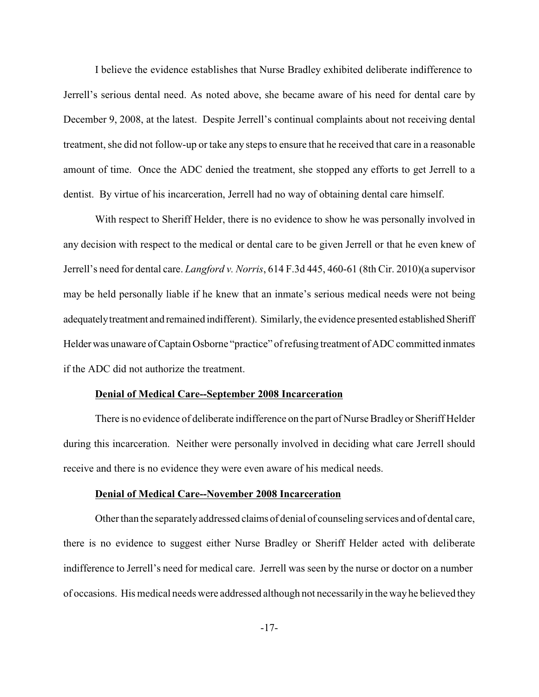I believe the evidence establishes that Nurse Bradley exhibited deliberate indifference to Jerrell's serious dental need. As noted above, she became aware of his need for dental care by December 9, 2008, at the latest. Despite Jerrell's continual complaints about not receiving dental treatment, she did not follow-up or take any steps to ensure that he received that care in a reasonable amount of time. Once the ADC denied the treatment, she stopped any efforts to get Jerrell to a dentist. By virtue of his incarceration, Jerrell had no way of obtaining dental care himself.

With respect to Sheriff Helder, there is no evidence to show he was personally involved in any decision with respect to the medical or dental care to be given Jerrell or that he even knew of Jerrell's need for dental care. *Langford v. Norris*, 614 F.3d 445, 460-61 (8th Cir. 2010)(a supervisor may be held personally liable if he knew that an inmate's serious medical needs were not being adequatelytreatment and remained indifferent). Similarly, the evidence presented established Sheriff Helder was unaware of Captain Osborne "practice" of refusing treatment of ADC committed inmates if the ADC did not authorize the treatment.

### **Denial of Medical Care--September 2008 Incarceration**

There is no evidence of deliberate indifference on the part of Nurse Bradley or Sheriff Helder during this incarceration. Neither were personally involved in deciding what care Jerrell should receive and there is no evidence they were even aware of his medical needs.

### **Denial of Medical Care--November 2008 Incarceration**

Other than the separatelyaddressed claims of denial of counseling services and of dental care, there is no evidence to suggest either Nurse Bradley or Sheriff Helder acted with deliberate indifference to Jerrell's need for medical care. Jerrell was seen by the nurse or doctor on a number of occasions. His medical needs were addressed although not necessarilyin the wayhe believed they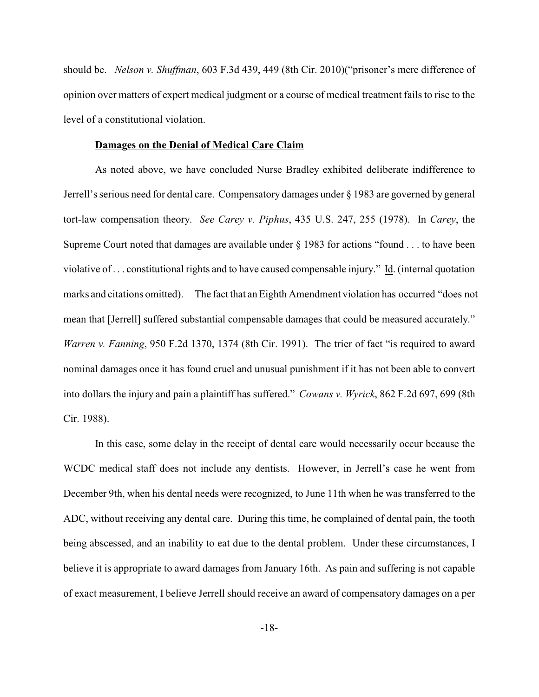should be. *Nelson v. Shuffman*, 603 F.3d 439, 449 (8th Cir. 2010)("prisoner's mere difference of opinion over matters of expert medical judgment or a course of medical treatment fails to rise to the level of a constitutional violation.

# **Damages on the Denial of Medical Care Claim**

As noted above, we have concluded Nurse Bradley exhibited deliberate indifference to Jerrell's serious need for dental care. Compensatory damages under § 1983 are governed by general tort-law compensation theory. *See Carey v. Piphus*, 435 U.S. 247, 255 (1978). In *Carey*, the Supreme Court noted that damages are available under § 1983 for actions "found . . . to have been violative of . . . constitutional rights and to have caused compensable injury." Id. (internal quotation marks and citations omitted). The fact that an Eighth Amendment violation has occurred "does not mean that [Jerrell] suffered substantial compensable damages that could be measured accurately." *Warren v. Fanning*, 950 F.2d 1370, 1374 (8th Cir. 1991). The trier of fact "is required to award nominal damages once it has found cruel and unusual punishment if it has not been able to convert into dollars the injury and pain a plaintiff has suffered." *Cowans v. Wyrick*, 862 F.2d 697, 699 (8th Cir. 1988).

In this case, some delay in the receipt of dental care would necessarily occur because the WCDC medical staff does not include any dentists. However, in Jerrell's case he went from December 9th, when his dental needs were recognized, to June 11th when he was transferred to the ADC, without receiving any dental care. During this time, he complained of dental pain, the tooth being abscessed, and an inability to eat due to the dental problem. Under these circumstances, I believe it is appropriate to award damages from January 16th. As pain and suffering is not capable of exact measurement, I believe Jerrell should receive an award of compensatory damages on a per